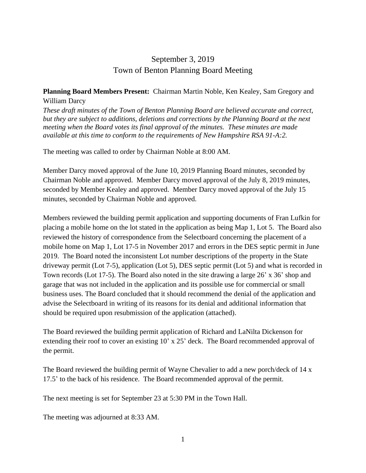## September 3, 2019 Town of Benton Planning Board Meeting

## **Planning Board Members Present:** Chairman Martin Noble, Ken Kealey, Sam Gregory and William Darcy

*These draft minutes of the Town of Benton Planning Board are believed accurate and correct, but they are subject to additions, deletions and corrections by the Planning Board at the next meeting when the Board votes its final approval of the minutes. These minutes are made available at this time to conform to the requirements of New Hampshire RSA 91-A:2.*

The meeting was called to order by Chairman Noble at 8:00 AM.

Member Darcy moved approval of the June 10, 2019 Planning Board minutes, seconded by Chairman Noble and approved. Member Darcy moved approval of the July 8, 2019 minutes, seconded by Member Kealey and approved. Member Darcy moved approval of the July 15 minutes, seconded by Chairman Noble and approved.

Members reviewed the building permit application and supporting documents of Fran Lufkin for placing a mobile home on the lot stated in the application as being Map 1, Lot 5. The Board also reviewed the history of correspondence from the Selectboard concerning the placement of a mobile home on Map 1, Lot 17-5 in November 2017 and errors in the DES septic permit in June 2019. The Board noted the inconsistent Lot number descriptions of the property in the State driveway permit (Lot 7-5), application (Lot 5), DES septic permit (Lot 5) and what is recorded in Town records (Lot 17-5). The Board also noted in the site drawing a large 26' x 36' shop and garage that was not included in the application and its possible use for commercial or small business uses. The Board concluded that it should recommend the denial of the application and advise the Selectboard in writing of its reasons for its denial and additional information that should be required upon resubmission of the application (attached).

The Board reviewed the building permit application of Richard and LaNilta Dickenson for extending their roof to cover an existing 10' x 25' deck. The Board recommended approval of the permit.

The Board reviewed the building permit of Wayne Chevalier to add a new porch/deck of 14 x 17.5' to the back of his residence. The Board recommended approval of the permit.

The next meeting is set for September 23 at 5:30 PM in the Town Hall.

The meeting was adjourned at 8:33 AM.